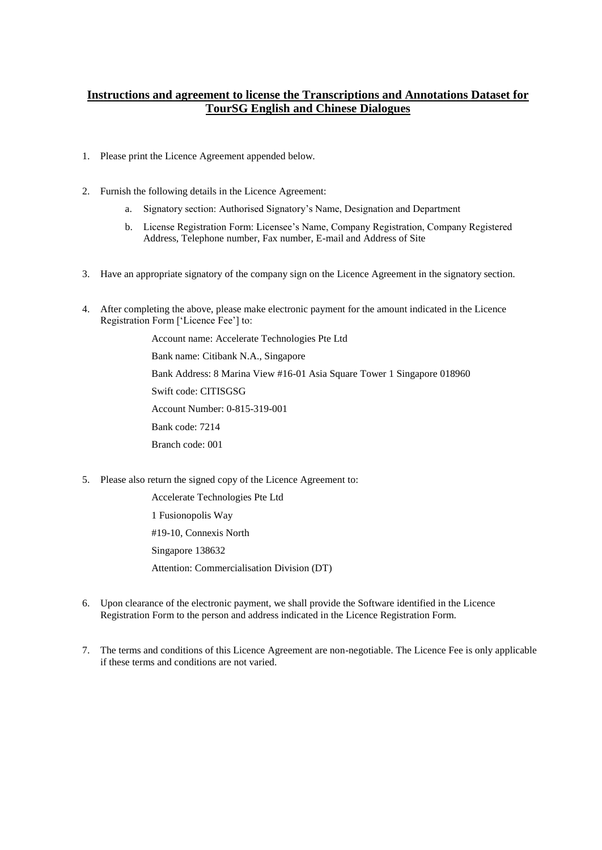# **Instructions and agreement to license the Transcriptions and Annotations Dataset for TourSG English and Chinese Dialogues**

- 1. Please print the Licence Agreement appended below.
- 2. Furnish the following details in the Licence Agreement:
	- a. Signatory section: Authorised Signatory's Name, Designation and Department
	- b. License Registration Form: Licensee's Name, Company Registration, Company Registered Address, Telephone number, Fax number, E-mail and Address of Site
- 3. Have an appropriate signatory of the company sign on the Licence Agreement in the signatory section.
- 4. After completing the above, please make electronic payment for the amount indicated in the Licence Registration Form ['Licence Fee'] to:

Account name: Accelerate Technologies Pte Ltd Bank name: Citibank N.A., Singapore Bank Address: 8 Marina View #16-01 Asia Square Tower 1 Singapore 018960 Swift code: CITISGSG Account Number: 0-815-319-001 Bank code: 7214 Branch code: 001

5. Please also return the signed copy of the Licence Agreement to:

Accelerate Technologies Pte Ltd 1 Fusionopolis Way #19-10, Connexis North Singapore 138632 Attention: Commercialisation Division (DT)

- 6. Upon clearance of the electronic payment, we shall provide the Software identified in the Licence Registration Form to the person and address indicated in the Licence Registration Form.
- 7. The terms and conditions of this Licence Agreement are non-negotiable. The Licence Fee is only applicable if these terms and conditions are not varied.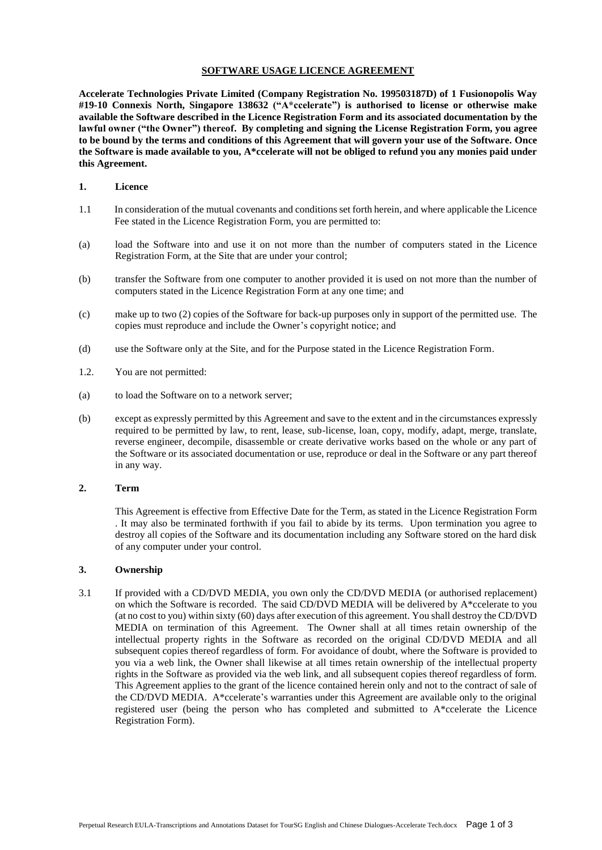#### **SOFTWARE USAGE LICENCE AGREEMENT**

**Accelerate Technologies Private Limited (Company Registration No. 199503187D) of 1 Fusionopolis Way #19-10 Connexis North, Singapore 138632 ("A\*ccelerate") is authorised to license or otherwise make available the Software described in the Licence Registration Form and its associated documentation by the lawful owner ("the Owner") thereof. By completing and signing the License Registration Form, you agree to be bound by the terms and conditions of this Agreement that will govern your use of the Software. Once the Software is made available to you, A\*ccelerate will not be obliged to refund you any monies paid under this Agreement.** 

#### **1. Licence**

- 1.1 In consideration of the mutual covenants and conditions set forth herein, and where applicable the Licence Fee stated in the Licence Registration Form, you are permitted to:
- (a) load the Software into and use it on not more than the number of computers stated in the Licence Registration Form, at the Site that are under your control;
- (b) transfer the Software from one computer to another provided it is used on not more than the number of computers stated in the Licence Registration Form at any one time; and
- (c) make up to two (2) copies of the Software for back-up purposes only in support of the permitted use. The copies must reproduce and include the Owner's copyright notice; and
- (d) use the Software only at the Site, and for the Purpose stated in the Licence Registration Form.
- 1.2. You are not permitted:
- (a) to load the Software on to a network server;
- (b) except as expressly permitted by this Agreement and save to the extent and in the circumstances expressly required to be permitted by law, to rent, lease, sub-license, loan, copy, modify, adapt, merge, translate, reverse engineer, decompile, disassemble or create derivative works based on the whole or any part of the Software or its associated documentation or use, reproduce or deal in the Software or any part thereof in any way.

#### **2. Term**

This Agreement is effective from Effective Date for the Term, as stated in the Licence Registration Form . It may also be terminated forthwith if you fail to abide by its terms. Upon termination you agree to destroy all copies of the Software and its documentation including any Software stored on the hard disk of any computer under your control.

#### **3. Ownership**

3.1 If provided with a CD/DVD MEDIA, you own only the CD/DVD MEDIA (or authorised replacement) on which the Software is recorded. The said CD/DVD MEDIA will be delivered by A\*ccelerate to you (at no cost to you) within sixty (60) days after execution of this agreement. You shall destroy the CD/DVD MEDIA on termination of this Agreement. The Owner shall at all times retain ownership of the intellectual property rights in the Software as recorded on the original CD/DVD MEDIA and all subsequent copies thereof regardless of form. For avoidance of doubt, where the Software is provided to you via a web link, the Owner shall likewise at all times retain ownership of the intellectual property rights in the Software as provided via the web link, and all subsequent copies thereof regardless of form. This Agreement applies to the grant of the licence contained herein only and not to the contract of sale of the CD/DVD MEDIA. A\*ccelerate's warranties under this Agreement are available only to the original registered user (being the person who has completed and submitted to A\*ccelerate the Licence Registration Form).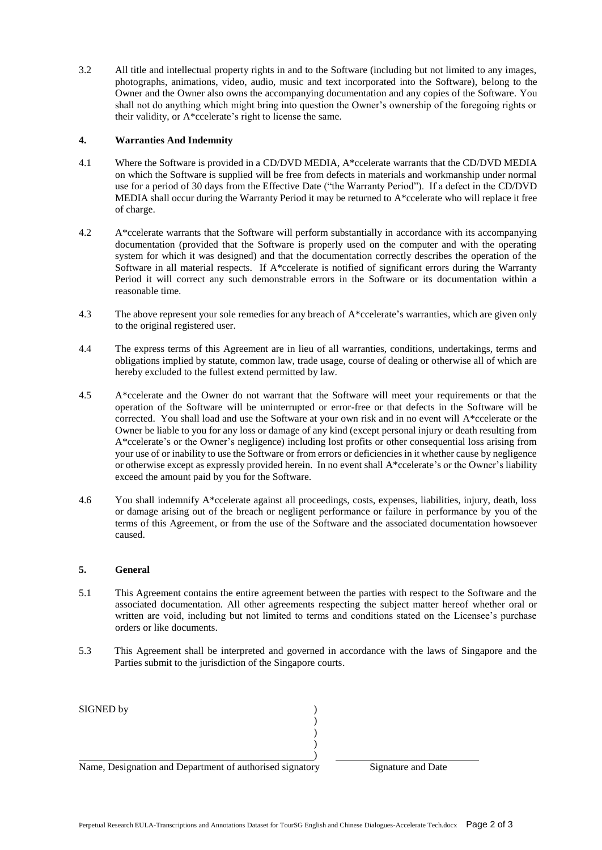3.2 All title and intellectual property rights in and to the Software (including but not limited to any images, photographs, animations, video, audio, music and text incorporated into the Software), belong to the Owner and the Owner also owns the accompanying documentation and any copies of the Software. You shall not do anything which might bring into question the Owner's ownership of the foregoing rights or their validity, or A\*ccelerate's right to license the same.

## **4. Warranties And Indemnity**

- 4.1 Where the Software is provided in a CD/DVD MEDIA, A\*ccelerate warrants that the CD/DVD MEDIA on which the Software is supplied will be free from defects in materials and workmanship under normal use for a period of 30 days from the Effective Date ("the Warranty Period"). If a defect in the CD/DVD MEDIA shall occur during the Warranty Period it may be returned to A\*ccelerate who will replace it free of charge.
- 4.2 A\*ccelerate warrants that the Software will perform substantially in accordance with its accompanying documentation (provided that the Software is properly used on the computer and with the operating system for which it was designed) and that the documentation correctly describes the operation of the Software in all material respects. If A\*ccelerate is notified of significant errors during the Warranty Period it will correct any such demonstrable errors in the Software or its documentation within a reasonable time.
- 4.3 The above represent your sole remedies for any breach of A\*ccelerate's warranties, which are given only to the original registered user.
- 4.4 The express terms of this Agreement are in lieu of all warranties, conditions, undertakings, terms and obligations implied by statute, common law, trade usage, course of dealing or otherwise all of which are hereby excluded to the fullest extend permitted by law.
- 4.5 A\*ccelerate and the Owner do not warrant that the Software will meet your requirements or that the operation of the Software will be uninterrupted or error-free or that defects in the Software will be corrected. You shall load and use the Software at your own risk and in no event will A\*ccelerate or the Owner be liable to you for any loss or damage of any kind (except personal injury or death resulting from A\*ccelerate's or the Owner's negligence) including lost profits or other consequential loss arising from your use of or inability to use the Software or from errors or deficiencies in it whether cause by negligence or otherwise except as expressly provided herein. In no event shall A\*ccelerate's or the Owner's liability exceed the amount paid by you for the Software.
- 4.6 You shall indemnify A\*ccelerate against all proceedings, costs, expenses, liabilities, injury, death, loss or damage arising out of the breach or negligent performance or failure in performance by you of the terms of this Agreement, or from the use of the Software and the associated documentation howsoever caused.

### **5. General**

- 5.1 This Agreement contains the entire agreement between the parties with respect to the Software and the associated documentation. All other agreements respecting the subject matter hereof whether oral or written are void, including but not limited to terms and conditions stated on the Licensee's purchase orders or like documents.
- 5.3 This Agreement shall be interpreted and governed in accordance with the laws of Singapore and the Parties submit to the jurisdiction of the Singapore courts.

| SIGNED by                                                |                    |
|----------------------------------------------------------|--------------------|
|                                                          |                    |
|                                                          |                    |
|                                                          |                    |
|                                                          |                    |
| Name, Designation and Department of authorised signatory | Signature and Date |